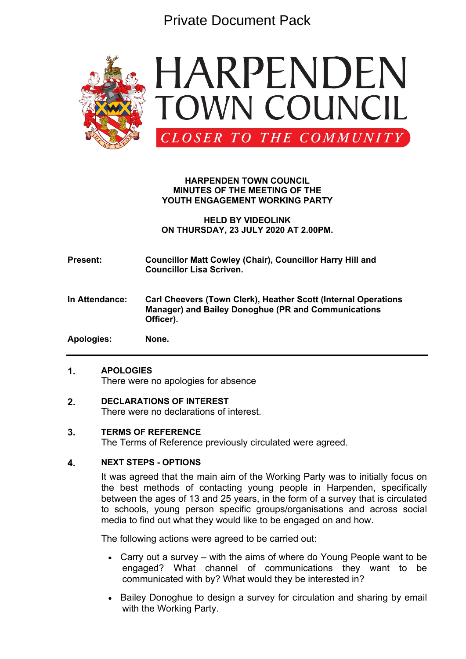Private Document Pack



## **HARPENDEN TOWN COUNCIL MINUTES OF THE MEETING OF THE YOUTH ENGAGEMENT WORKING PARTY**

**HELD BY VIDEOLINK ON THURSDAY, 23 JULY 2020 AT 2.00PM.**

**Present: Councillor Matt Cowley (Chair), Councillor Harry Hill and Councillor Lisa Scriven.**

**In Attendance: Carl Cheevers (Town Clerk), Heather Scott (Internal Operations Manager) and Bailey Donoghue (PR and Communications Officer).**

**Apologies: None.**

## **1. APOLOGIES**

There were no apologies for absence

## **2. DECLARATIONS OF INTEREST**

There were no declarations of interest.

#### **3. TERMS OF REFERENCE**

The Terms of Reference previously circulated were agreed.

#### **4. NEXT STEPS - OPTIONS**

It was agreed that the main aim of the Working Party was to initially focus on the best methods of contacting young people in Harpenden, specifically between the ages of 13 and 25 years, in the form of a survey that is circulated to schools, young person specific groups/organisations and across social media to find out what they would like to be engaged on and how.

The following actions were agreed to be carried out:

- Carry out a survey with the aims of where do Young People want to be engaged? What channel of communications they want to be communicated with by? What would they be interested in?
- Bailey Donoghue to design a survey for circulation and sharing by email with the Working Party.